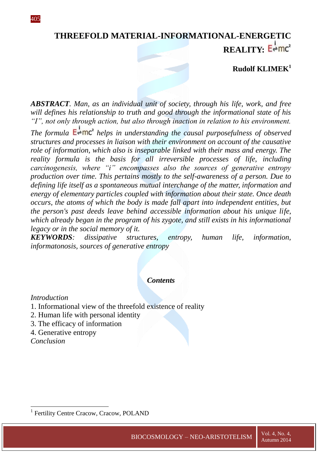

# **THREEFOLD MATERIAL-INFORMATIONAL-ENERGETIC REALITY:**  $E \neq mc^2$

# **Rudolf KLIMEK<sup>1</sup>**

*ABSTRACT. Man, as an individual unit of society, through his life, work, and free will defines his relationship to truth and good through the informational state of his "I", not only through action, but also through inaction in relation to his environment.* 

*The formula*  $E \neq MC^2$  *helps in understanding the causal purposefulness of observed structures and processes in liaison with their environment on account of the causative role of information, which also is inseparable linked with their mass and energy. The reality formula is the basis for all irreversible processes of life, including carcinogenesis, where "i" encompasses also the sources of generative entropy production over time. This pertains mostly to the self-awareness of a person. Due to defining life itself as a spontaneous mutual interchange of the matter, information and energy of elementary particles coupled with information about their state. Once death occurs, the atoms of which the body is made fall apart into independent entities, but the person's past deeds leave behind accessible information about his unique life, which already began in the program of his zygote, and still exists in his informational legacy or in the social memory of it.*

*KEYWORDS: dissipative structures, entropy, human life, information, informatonosis, sources of generative entropy*

## *Contents*

#### *Introduction*

- 1. Informational view of the threefold existence of reality
- 2. Human life with personal identity
- 3. The efficacy of information
- 4. Generative entropy
- *Conclusion*

1

<sup>&</sup>lt;sup>1</sup> Fertility Centre Cracow, Cracow, POLAND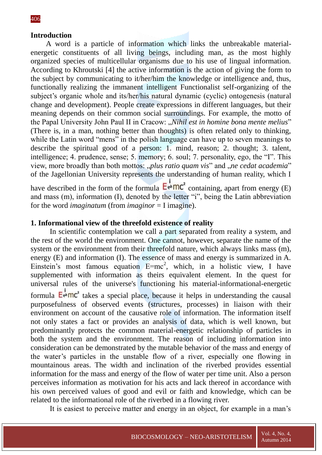#### **Introduction**

A word is a particle of information which links the unbreakable materialenergetic constituents of all living beings, including man, as the most highly organized species of multicellular organisms due to his use of lingual information. According to Khroutski [4] the active information is the action of giving the form to the subject by communicating to it/her/him the knowledge or intelligence and, thus, functionally realizing the immanent intelligent Functionalist self-organizing of the subject's organic whole and its/her/his natural dynamic (cyclic) ontogenesis (natural change and development). People create expressions in different languages, but their meaning depends on their common social surroundings. For example, the motto of the Papal University John Paul II in Cracow: "*Nihil est in homine bona mente melius*" (There is, in a man, nothing better than thoughts) is often related only to thinking, while the Latin word "mens" in the polish language can have up to seven meanings to describe the spiritual good of a person: 1. mind, reason; 2. thought; 3. talent, intelligence; 4. prudence, sense; 5. memory; 6. soul; 7. personality, ego, the "I". This view, more broadly than both mottos: "*plus ratio quam vis*" and "*ne cedat academia*" of the Jagellonian University represents the understanding of human reality, which I

have described in the form of the formula  $E \neq MC^2$  containing, apart from energy (E) and mass (m), information (I), denoted by the letter "i", being the Latin abbreviation for the word *imaginatum* (from *imaginor* = I imagine).

## **1. Informational view of the threefold existence of reality**

In scientific contemplation we call a part separated from reality a system, and the rest of the world the environment. One cannot, however, separate the name of the system or the environment from their threefold nature, which always links mass (m), energy (E) and information (I). The essence of mass and energy is summarized in A. Einstein's most famous equation  $E=mc^2$ , which, in a holistic view, I have supplemented with information as theirs equivalent element. In the quest for universal rules of the universe's functioning his material-informational-energetic formula  $E \rightarrow mc^2$  takes a special place, because it helps in understanding the causal purposefulness of observed events (structures, processes) in liaison with their environment on account of the causative role of information. The information itself not only states a fact or provides an analysis of data, which is well known, but predominantly protects the common material-energetic relationship of particles in both the system and the environment. The reason of including information into consideration can be demonstrated by the mutable behavior of the mass and energy of the water's particles in the unstable flow of a river, especially one flowing in mountainous areas. The width and inclination of the riverbed provides essential information for the mass and energy of the flow of water per time unit. Also a person perceives information as motivation for his acts and lack thereof in accordance with his own perceived values of good and evil or faith and knowledge, which can be related to the informational role of the riverbed in a flowing river.

It is easiest to perceive matter and energy in an object, for example in a man's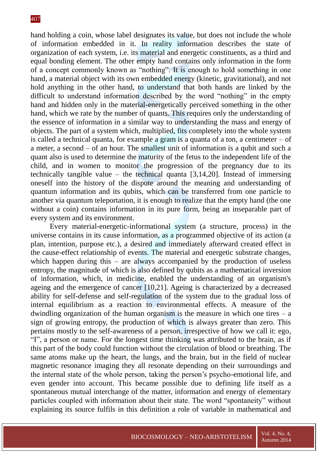hand holding a coin, whose label designates its value, but does not include the whole of information embedded in it. In reality information describes the state of organization of each system, i.e. its material and energetic constituents, as a third and equal bonding element. The other empty hand contains only information in the form of a concept commonly known as "nothing". It is enough to hold something in one hand, a material object with its own embedded energy (kinetic, gravitational), and not hold anything in the other hand, to understand that both hands are linked by the difficult to understand information described by the word "nothing" in the empty hand and hidden only in the material-energetically perceived something in the other hand, which we rate by the number of quants. This requires only the understanding of the essence of information in a similar way to understanding the mass and energy of objects. The part of a system which, multiplied, fits completely into the whole system is called a technical quanta, for example a gram is a quanta of a ton, a centimeter – of a meter, a second – of an hour. The smallest unit of information is a qubit and such a quant also is used to determine the maturity of the fetus to the independent life of the child, and in women to monitor the progression of the pregnancy due to its technically tangible value – the technical quanta [3,14,20]. Instead of immersing oneself into the history of the dispute around the meaning and understanding of quantum information and its qubits, which can be transferred from one particle to another via quantum teleportation, it is enough to realize that the empty hand (the one without a coin) contains information in its pure form, being an inseparable part of every system and its environment.

Every material-energetic-informational system (a structure, process) in the universe contains in its cause information, as a programmed objective of its action (a plan, intention, purpose etc.), a desired and immediately afterward created effect in the cause-effect relationship of events. The material and energetic substrate changes, which happen during this – are always accompanied by the production of useless entropy, the magnitude of which is also defined by qubits as a mathematical inversion of information, which, in medicine, enabled the understanding of an organism's ageing and the emergence of cancer [10,21]. Ageing is characterized by a decreased ability for self-defense and self-regulation of the system due to the gradual loss of internal equilibrium as a reaction to environmental effects. A measure of the dwindling organization of the human organism is the measure in which one tires  $-$  a sign of growing entropy, the production of which is always greater than zero. This pertains mostly to the self-awareness of a person, irrespective of how we call it: ego, "I", a person or name. For the longest time thinking was attributed to the brain, as if this part of the body could function without the circulation of blood or breathing. The same atoms make up the heart, the lungs, and the brain, but in the field of nuclear magnetic resonance imaging they all resonate depending on their surroundings and the internal state of the whole person, taking the person's psycho-emotional life, and even gender into account. This became possible due to defining life itself as a spontaneous mutual interchange of the matter, information and energy of elementary particles coupled with information about their state. The word "spontaneity" without explaining its source fulfils in this definition a role of variable in mathematical and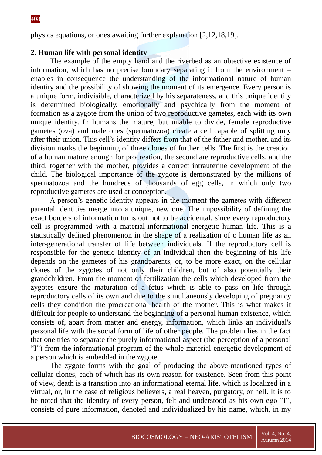physics equations, or ones awaiting further explanation [2,12,18,19].

#### **2. Human life with personal identity**

The example of the empty hand and the riverbed as an objective existence of information, which has no precise boundary separating it from the environment – enables in consequence the understanding of the informational nature of human identity and the possibility of showing the moment of its emergence. Every person is a unique form, indivisible, characterized by his separateness, and this unique identity is determined biologically, emotionally and psychically from the moment of formation as a zygote from the union of two reproductive gametes, each with its own unique identity. In humans the mature, but unable to divide, female reproductive gametes (ova) and male ones (spermatozoa) create a cell capable of splitting only after their union. This cell's identity differs from that of the father and mother, and its division marks the beginning of three clones of further cells. The first is the creation of a human mature enough for procreation, the second are reproductive cells, and the third, together with the mother, provides a correct intrauterine development of the child. The biological importance of the zygote is demonstrated by the millions of spermatozoa and the hundreds of thousands of egg cells, in which only two reproductive gametes are used at conception.

A person's genetic identity appears in the moment the gametes with different parental identities merge into a unique, new one. The impossibility of defining the exact borders of information turns out not to be accidental, since every reproductory cell is programmed with a material-informational-energetic human life. This is a statistically defined phenomenon in the shape of a realization of o human life as an inter-generational transfer of life between individuals. If the reproductory cell is responsible for the genetic identity of an individual then the beginning of his life depends on the gametes of his grandparents, or, to be more exact, on the cellular clones of the zygotes of not only their children, but of also potentially their grandchildren. From the moment of fertilization the cells which developed from the zygotes ensure the maturation of a fetus which is able to pass on life through reproductory cells of its own and due to the simultaneously developing of pregnancy cells they condition the procreational health of the mother. This is what makes it difficult for people to understand the beginning of a personal human existence, which consists of, apart from matter and energy, information, which links an individual's personal life with the social form of life of other people. The problem lies in the fact that one tries to separate the purely informational aspect (the perception of a personal "I") from the informational program of the whole material-energetic development of a person which is embedded in the zygote.

The zygote forms with the goal of producing the above-mentioned types of cellular clones, each of which has its own reason for existence. Seen from this point of view, death is a transition into an informational eternal life, which is localized in a virtual, or, in the case of religious believers, a real heaven, purgatory, or hell. It is to be noted that the identity of every person, felt and understood as his own ego "I", consists of pure information, denoted and individualized by his name, which, in my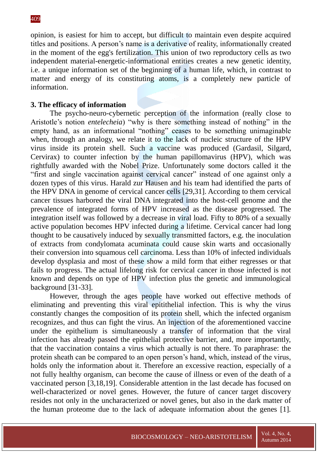opinion, is easiest for him to accept, but difficult to maintain even despite acquired titles and positions. A person's name is a derivative of reality, informationally created in the moment of the egg's fertilization. This union of two reproductory cells as two independent material-energetic-informational entities creates a new genetic identity, i.e. a unique information set of the beginning of a human life, which, in contrast to matter and energy of its constituting atoms, is a completely new particle of information.

#### **3. The efficacy of information**

The psycho-neuro-cybernetic perception of the information (really close to Aristotle's notion *entelecheia*) "why is there something instead of nothing" in the empty hand, as an informational "nothing" ceases to be something unimaginable when, through an analogy, we relate it to the lack of nucleic structure of the HPV virus inside its protein shell. Such a vaccine was produced (Gardasil, Silgard, Cervirax) to counter infection by the human papillomavirus (HPV), which was rightfully awarded with the Nobel Prize. Unfortunately some doctors called it the "first and single vaccination against cervical cancer" instead of one against only a dozen types of this virus. Harald zur Hausen and his team had identified the parts of the HPV DNA in genome of cervical cancer cells [29,31]. According to them cervical cancer tissues harbored the viral DNA integrated into the host-cell genome and the prevalence of integrated forms of HPV increased as the disease progressed. The integration itself was followed by a decrease in viral load. Fifty to 80% of a sexually active population becomes HPV infected during a lifetime. Cervical cancer had long thought to be causatively induced by sexually transmitted factors, e.g. the inoculation of extracts from condylomata acuminata could cause skin warts and occasionally their conversion into squamous cell carcinoma. Less than 10% of infected individuals develop dysplasia and most of these show a mild form that either regresses or that fails to progress. The actual lifelong risk for cervical cancer in those infected is not known and depends on type of HPV infection plus the genetic and immunological background [31-33].

However, through the ages people have worked out effective methods of eliminating and preventing this viral epitithelial infection. This is why the virus constantly changes the composition of its protein shell, which the infected organism recognizes, and thus can fight the virus. An injection of the aforementioned vaccine under the epithelium is simultaneously a transfer of information that the viral infection has already passed the epithelial protective barrier, and, more importantly, that the vaccination contains a virus which actually is not there. To paraphrase: the protein sheath can be compared to an open person's hand, which, instead of the virus, holds only the information about it. Therefore an excessive reaction, especially of a not fully healthy organism, can become the cause of illness or even of the death of a vaccinated person [3,18,19]. Considerable attention in the last decade has focused on well-characterized or novel genes. However, the future of cancer target discovery resides not only in the uncharacterized or novel genes, but also in the dark matter of the human proteome due to the lack of adequate information about the genes [1].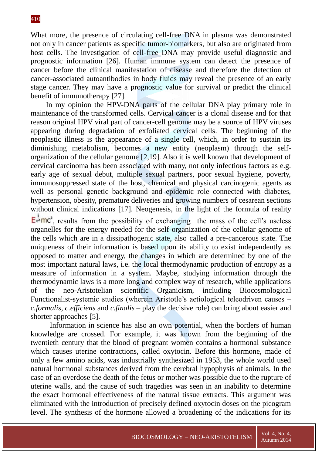What more, the presence of circulating cell-free DNA in plasma was demonstrated not only in cancer patients as specific tumor-biomarkers, but also are originated from host cells. The investigation of cell-free DNA may provide useful diagnostic and prognostic information [26]. Human immune system can detect the presence of cancer before the clinical manifestation of disease and therefore the detection of cancer-associated autoantibodies in body fluids may reveal the presence of an early stage cancer. They may have a prognostic value for survival or predict the clinical benefit of immunotherapy [27].

In my opinion the HPV-DNA parts of the cellular DNA play primary role in maintenance of the transformed cells. Cervical cancer is a clonal disease and for that reason original HPV viral part of cancer-cell genome may be a source of HPV viruses appearing during degradation of exfoliated cervical cells. The beginning of the neoplastic illness is the appearance of a single cell, which, in order to sustain its diminishing metabolism, becomes a new entity (neoplasm) through the selforganization of the cellular genome [2,19]. Also it is well known that development of cervical carcinoma has been associated with many, not only infectious factors as e.g. early age of sexual debut, multiple sexual partners, poor sexual hygiene, poverty, immunosuppressed state of the host, chemical and physical carcinogenic agents as well as personal genetic background and epidemic role connected with diabetes, hypertension, obesity, premature deliveries and growing numbers of cesarean sections without clinical indications [17]. Neogenesis, in the light of the formula of reality  $E \neq mc^2$ , results from the possibility of exchanging the mass of the cell's useless organelles for the energy needed for the self-organization of the cellular genome of the cells which are in a dissipathogenic state, also called a pre-cancerous state. The uniqueness of their information is based upon its ability to exist independently as opposed to matter and energy, the changes in which are determined by one of the most important natural laws, i.e. the local thermodynamic production of entropy as a measure of information in a system. Maybe, studying information through the thermodynamic laws is a more long and complex way of research, while applications of the neo-Aristotelian scientific Organicism, including Biocosmological Functionalist-systemic studies (wherein Aristotle's aetiological teleodriven causes – *c.formalis, c.efficiens* and *c.finalis* – play the decisive role) can bring about easier and

shorter approaches [5].

Information in science has also an own potential, when the borders of human knowledge are crossed. For example, it was known from the beginning of the twentieth century that the blood of pregnant women contains a hormonal substance which causes uterine contractions, called oxytocin. Before this hormone, made of only a few amino acids, was industrially synthesized in 1953, the whole world used natural hormonal substances derived from the cerebral hypophysis of animals. In the case of an overdose the death of the fetus or mother was possible due to the rupture of uterine walls, and the cause of such tragedies was seen in an inability to determine the exact hormonal effectiveness of the natural tissue extracts. This argument was eliminated with the introduction of precisely defined oxytocin doses on the picogram level. The synthesis of the hormone allowed a broadening of the indications for its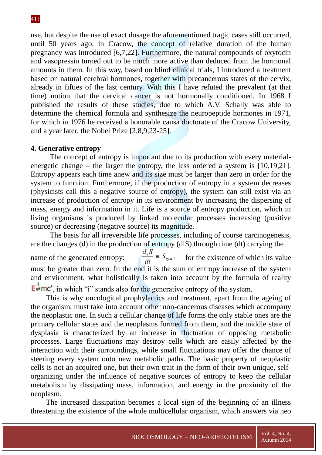use, but despite the use of exact dosage the aforementioned tragic cases still occurred, until 50 years ago, in Cracow, the concept of relative duration of the human pregnancy was introduced [6,7,22]. Furthermore, the natural compounds of oxytocin and vasopressin turned out to be much more active than deduced from the hormonal amounts in them. In this way, based on blind clinical trials, I introduced a treatment based on natural cerebral hormones**,** together with precancerous states of the cervix, already in fifties of the last century. With this I have refuted the prevalent (at that time) notion that the cervical cancer is not hormonally conditioned. In 1968 I published the results of these studies, due to which A.V. Schally was able to determine the chemical formula and synthesize the neuropeptide hormones in 1971, for which in 1976 he received a honorable causa doctorate of the Cracow University, and a year later, the Nobel Prize [2,8,9,23-25].

## **4. Generative entropy**

The concept of entropy is important due to its production with every materialenergetic change – the larger the entropy, the less ordered a system is [10,19,21]. Entropy appears each time anew and its size must be larger than zero in order for the system to function. Furthermore, if the production of entropy in a system decreases (physicists call this a negative source of entropy), the system can still exist via an increase of production of entropy in its environment by increasing the dispersing of mass, energy and information in it. Life is a source of entropy production, which in living organisms is produced by linked molecular processes increasing (positive source) or decreasing (negative source) its magnitude.

The basis for all irreversible life processes, including of course carcinogenesis, are the changes (d) in the production of entropy (diS) through time (dt) carrying the name of the generated entropy:  $\frac{d_i S}{dt} = S_{gen}$ , for the existence of which its value must be greater than zero. In the end it is the sum of entropy increase of the system and environment, what holistically is taken into account by the formula of reality  $E \neq mc^2$ , in which "i" stands also for the generative entropy of the system.

This is why oncological prophylactics and treatment, apart from the ageing of the organism, must take into account other non-cancerous diseases which accompany the neoplastic one. In such a cellular change of life forms the only stable ones are the primary cellular states and the neoplasms formed from them, and the middle state of dysplasia is characterized by an increase in fluctuation of opposing metabolic processes. Large fluctuations may destroy cells which are easily affected by the interaction with their surroundings, while small fluctuations may offer the chance of steering every system onto new metabolic paths. The basic property of neoplastic cells is not an acquired one, but their own trait in the form of their own unique, selforganizing under the influence of negative sources of entropy to keep the cellular metabolism by dissipating mass, information, and energy in the proximity of the neoplasm.

The increased dissipation becomes a local sign of the beginning of an illness threatening the existence of the whole multicellular organism, which answers via neo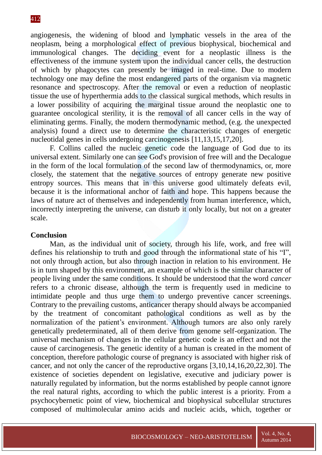angiogenesis, the widening of blood and lymphatic vessels in the area of the neoplasm, being a morphological effect of previous biophysical, biochemical and immunological changes. The deciding event for a neoplastic illness is the effectiveness of the immune system upon the individual cancer cells, the destruction of which by phagocytes can presently be imaged in real-time. Due to modern technology one may define the most endangered parts of the organism via magnetic resonance and spectroscopy. After the removal or even a reduction of neoplastic tissue the use of hyperthermia adds to the classical surgical methods, which results in a lower possibility of acquiring the marginal tissue around the neoplastic one to guarantee oncological sterility, it is the removal of all cancer cells in the way of eliminating germs. Finally, the modern thermodynamic method, (e.g. the unexpected analysis) found a direct use to determine the characteristic changes of energetic nucleotidal genes in cells undergoing carcinogenesis [11,13,15,17,20].

F. Collins called the nucleic genetic code the language of God due to its universal extent. Similarly one can see God's provision of free will and the Decalogue in the form of the local formulation of the second law of thermodynamics, or, more closely, the statement that the negative sources of entropy generate new positive entropy sources. This means that in this universe good ultimately defeats evil, because it is the informational anchor of faith and hope. This happens because the laws of nature act of themselves and independently from human interference, which, incorrectly interpreting the universe, can disturb it only locally, but not on a greater scale.

## **Conclusion**

Man, as the individual unit of society, through his life, work, and free will defines his relationship to truth and good through the informational state of his "I", not only through action, but also through inaction in relation to his environment. He is in turn shaped by this environment, an example of which is the similar character of people living under the same conditions. It should be understood that the word *cancer*  refers to a chronic disease, although the term is frequently used in medicine to intimidate people and thus urge them to undergo preventive cancer screenings. Contrary to the prevailing customs, anticancer therapy should always be accompanied by the treatment of concomitant pathological conditions as well as by the normalization of the patient's environment. Although tumors are also only rarely genetically predeterminated, all of them derive from genome self-organization. The universal mechanism of changes in the cellular genetic code is an effect and not the cause of carcinogenesis. The genetic identity of a human is created in the moment of conception, therefore pathologic course of pregnancy is associated with higher risk of cancer, and not only the cancer of the reproductive organs [3,10,14,16,20,22,30]. The existence of societies dependent on legislative, executive and judiciary power is naturally regulated by information, but the norms established by people cannot ignore the real natural rights, according to which the public interest is a priority. From a psychocybernetic point of view, biochemical and biophysical subcellular structures composed of multimolecular amino acids and nucleic acids, which, together or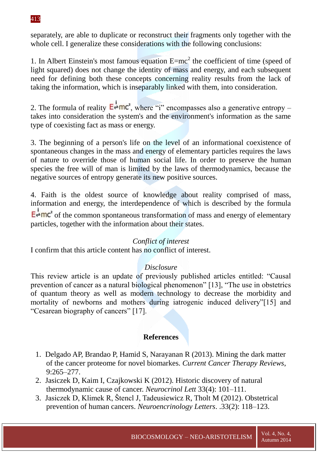# 413

separately, are able to duplicate or reconstruct their fragments only together with the whole cell. I generalize these considerations with the following conclusions:

1. In Albert Einstein's most famous equation  $E=mc^2$  the coefficient of time (speed of light squared) does not change the identity of mass and energy, and each subsequent need for defining both these concepts concerning reality results from the lack of taking the information, which is inseparably linked with them, into consideration.

2. The formula of reality  $E^{\frac{1}{2}}mc^2$ , where "i" encompasses also a generative entropy – takes into consideration the system's and the environment's information as the same type of coexisting fact as mass or energy.

3. The beginning of a person's life on the level of an informational coexistence of spontaneous changes in the mass and energy of elementary particles requires the laws of nature to override those of human social life. In order to preserve the human species the free will of man is limited by the laws of thermodynamics, because the negative sources of entropy generate its new positive sources.

4. Faith is the oldest source of knowledge about reality comprised of mass, information and energy, the interdependence of which is described by the formula

 $E \neq mc^2$  of the common spontaneous transformation of mass and energy of elementary particles, together with the information about their states.

# *Conflict of interest*

I confirm that this article content has no conflict of interest.

# *Disclosure*

This review article is an update of previously published articles entitled: "Causal prevention of cancer as a natural biological phenomenon" [13], "The use in obstetrics of quantum theory as well as modern technology to decrease the morbidity and mortality of newborns and mothers during iatrogenic induced delivery"[15] and "Cesarean biography of cancers" [17].

# **References**

- 1. Delgado AP, Brandao P, Hamid S, Narayanan R (2013). Mining the dark matter of the cancer proteome for novel biomarkes. *Current Cancer Therapy Reviews*, 9:265–277.
- 2. Jasiczek D, Kaim I, Czajkowski K (2012). Historic discovery of natural thermodynamic cause of cancer. *Neurocrinol Lett* 33(4): 101–111.
- 3. Jasiczek D, Klimek R, Štencl J, Tadeusiewicz R, Tholt M (2012). Obstetrical prevention of human cancers. *Neuroencrinology Letters*. .33(2): 118–123.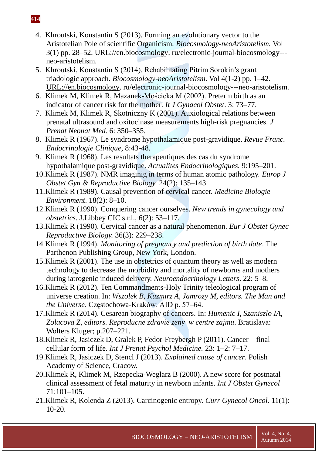- 4. Khroutski, Konstantin S (2013). Forming an evolutionary vector to the Aristotelian Pole of scientific Organicism. *Biocosmology-neoAristotelism.* Vol 3(1) pp. 28–52. [URL://en.biocosmology.](//en.biocosmology/) ru/electronic-journal-biocosmology-- neo-aristotelism.
- 5. Khroutski, Konstantin S (2014). Rehabilitating Pitrim Sorokin's grant triadologic approach. *Biocosmology-neoAristotelism*. Vol 4(1-2) pp. 1–42. [URL://en.biocosmology.](//en.biocosmology/) ru/electronic-journal-biocosmology---neo-aristotelism.
- 6. Klimek M, Klimek R, Mazanek-Mościcka M (2002). Preterm birth as an indicator of cancer risk for the mother*. It J Gynacol Obstet*. 3: 73–77.
- 7. Klimek M, Klimek R, Skotniczny K (2001). Auxiological relations between prenatal ultrasound and oxitocinase measurements high-risk pregnancies. *J Prenat Neonat Med*. 6: 350–355.
- 8. Klimek R (1967). Le syndrome hypothalamique post-gravidique. *Revue Franc. Endocrinologie Clinique*, 8:43-48.
- 9. Klimek R (1968). Les resultats therapeutiques des cas du syndrome hypothalamique post-gravidique. *Actualites Endocrinologiques.* 9:195–201.
- 10.Klimek R (1987). NMR imaginig in terms of human atomic pathology. *Europ J Obstet Gyn & Reproductive Biology.* 24(2): 135–143.
- 11.Klimek R (1989). Causal prevention of cervical cancer. *Medicine Biologie Environment*. 18(2): 8–10.
- 12.Klimek R (1990). Conquering cancer ourselves. *New trends in gynecology and obstetrics.* J.Libbey CIC s.r.l., 6(2): 53–117.
- 13.Klimek R (1990). Cervical cancer as a natural phenomenon. *Eur J Obstet Gynec Reproductive Biology.* 36(3): 229–238.
- 14.Klimek R (1994). *Monitoring of pregnancy and prediction of birth date*. The Parthenon Publishing Group, New York, London.
- 15.Klimek R (2001). The use in obstetrics of quantum theory as well as modern technology to decrease the morbidity and mortality of newborns and mothers during iatrogenic induced delivery. *Neuroendocrinology Letters*. 22: 5–8.
- 16.Klimek R (2012). Ten Commandments-Holy Trinity teleological program of universe creation. In: *Wszolek B, Kuzmirz A, Jamrozy M, editors. The Man and the Universe*. Częstochowa-Kraków: AID p. 57–64.
- 17.Klimek R (2014). Cesarean biography of cancers. In: *Humenic I, Szaniszlo IA, Zolacova Z, editors. Reproducne zdravie zeny w centre zajmu*. Bratislava: Wolters Kluger; p.207–221.
- 18.Klimek R, Jasiczek D, Gralek P, Fedor-Freybergh P (2011). Cancer final cellular form of life. *Int J Prenat Psychol Medicine.* 23: 1–2: 7–17.
- 19.Klimek R, Jasiczek D, Stencl J (2013). *Explained cause of cancer*. Polish Academy of Science, Cracow.
- 20.Klimek R, Klimek M, Rzepecka-Weglarz B (2000). A new score for postnatal clinical assessment of fetal maturity in newborn infants. *Int J Obstet Gynecol* 71:101–105.
- 21.Klimek R, Kolenda Z (2013). Carcinogenic entropy. *Curr Gynecol Oncol*. 11(1): 10-20.

## 414